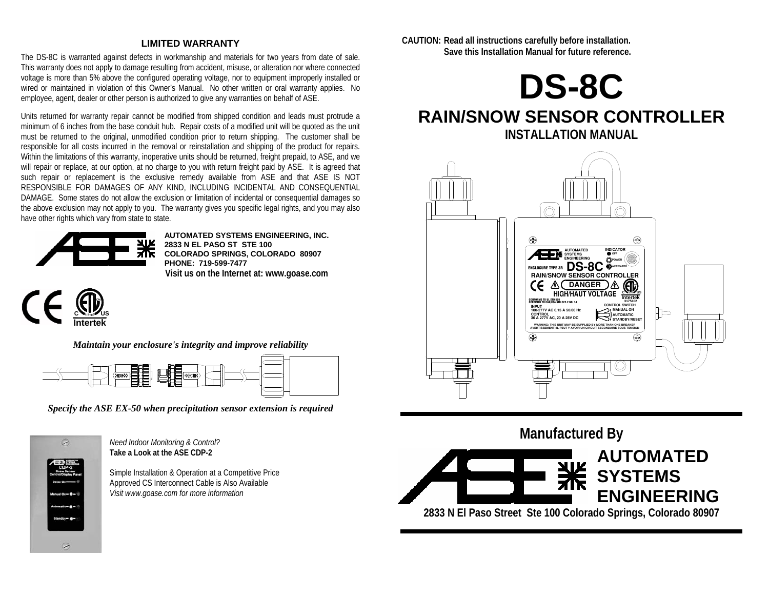#### **LIMITED WARRANTY**

The DS-8C is warranted against defects in workmanship and materials for two years from date of sale. This warranty does not apply to damage resulting from accident, misuse, or alteration nor where connected voltage is more than 5% above the configured operating voltage, nor to equipment improperly installed or wired or maintained in violation of this Owner's Manual. No other written or oral warranty applies. No employee, agent, dealer or other person is authorized to give any warranties on behalf of ASE.

Units returned for warranty repair cannot be modified from shipped condition and leads must protrude a minimum of 6 inches from the base conduit hub. Repair costs of a modified unit will be quoted as the unit must be returned to the original, unmodified condition prior to return shipping. The customer shall be responsible for all costs incurred in the removal or reinstallation and shipping of the product for repairs. Within the limitations of this warranty, inoperative units should be returned, freight prepaid, to ASE, and we will repair or replace, at our option, at no charge to you with return freight paid by ASE. It is agreed that such repair or replacement is the exclusive remedy available from ASE and that ASE IS NOT RESPONSIBLE FOR DAMAGES OF ANY KIND, INCLUDING INCIDENTAL AND CONSEQUENTIAL DAMAGE. Some states do not allow the exclusion or limitation of incidental or consequential damages so the above exclusion may not apply to you. The warranty gives you specific legal rights, and you may also have other rights which vary from state to state.



**AUTOMATED SYSTEMS ENGINEERING, INC. 2833 N EL PASO ST STE 100 COLORADO SPRINGS, COLORADO 80907 PHONE: 719-599-7477 Visit us on the Internet at: www.goase.com** 



*Maintain your enclosure's integrity and improve reliability* 



*Specify the ASE EX-50 when precipitation sensor extension is required* 



*Need Indoor Monitoring & Control?*  **Take a Look at the ASE CDP-2** 

Simple Installation & Operation at a Competitive Price Approved CS Interconnect Cable is Also Available *Visit www.goase.com for more information* 

**CAUTION: Read all instructions carefully before installation. Save this Installation Manual for future reference.** 



# **RAIN/SNOW SENSOR CONTROLLER**



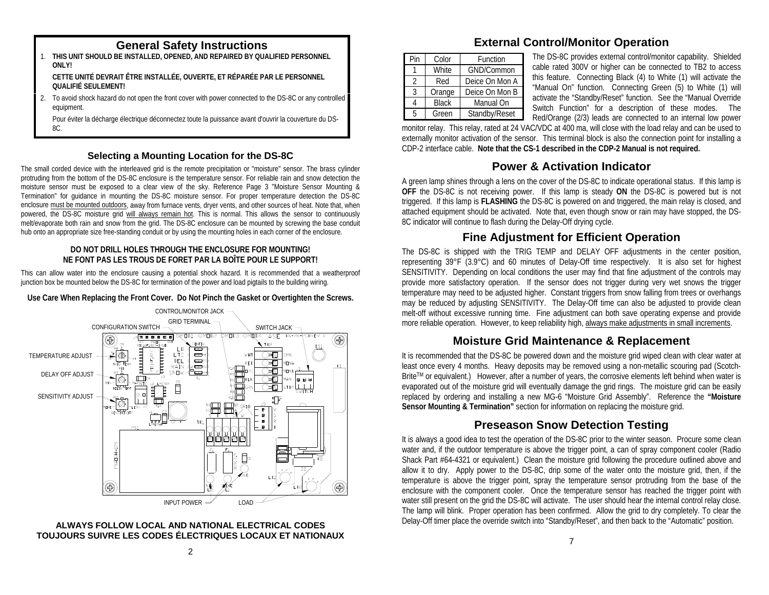- 1. **THIS UNIT SHOULD BE INSTALLED, OPENED, AND REPAIRED BY QUALIFIED PERSONNEL ONLY! CETTE UNITÉ DEVRAIT ÊTRE INSTALLÉE, OUVERTE, ET RÉPARÉE PAR LE PERSONNEL QUALIFIÉ SEULEMENT!**
- 2. To avoid shock hazard do not open the front cover with power connected to the DS-8C or any controlled equipment.

 Pour éviter la décharge électrique déconnectez toute la puissance avant d'ouvrir la couverture du DS-8C.

#### **Selecting a Mounting Location for the DS-8C**

The small corded device with the interleaved grid is the remote precipitation or "moisture" sensor. The brass cylinder protruding from the bottom of the DS-8C enclosure is the temperature sensor. For reliable rain and snow detection the moisture sensor must be exposed to a clear view of the sky. Reference Page 3 "Moisture Sensor Mounting & Termination" for guidance in mounting the DS-8C moisture sensor. For proper temperature detection the DS-8C enclosure must be mounted outdoors, away from furnace vents, dryer vents, and other sources of heat. Note that, when powered, the DS-8C moisture grid will always remain hot. This is normal. This allows the sensor to continuously melt/evaporate both rain and snow from the grid. The DS-8C enclosure can be mounted by screwing the base conduit hub onto an appropriate size free-standing conduit or by using the mounting holes in each corner of the enclosure.

#### **DO NOT DRILL HOLES THROUGH THE ENCLOSURE FOR MOUNTING! NE FONT PAS LES TROUS DE FORET PAR LA BOÎTE POUR LE SUPPORT!**

This can allow water into the enclosure causing a potential shock hazard. It is recommended that a weatherproof junction box be mounted below the DS-8C for termination of the power and load pigtails to the building wiring.

#### **Use Care When Replacing the Front Cover. Do Not Pinch the Gasket or Overtighten the Screws.**





# **General Safety Instructions External Control/Monitor Operation**

| Pin | Color        | Function       |  |  |
|-----|--------------|----------------|--|--|
|     | <b>White</b> | GND/Common     |  |  |
| 2   | Red          | Deice On Mon A |  |  |
| 3   | Orange       | Deice On Mon B |  |  |
|     | <b>Black</b> | Manual On      |  |  |
| 5   | Green        | Standby/Reset  |  |  |

The DS-8C provides external control/monitor capability. Shielded cable rated 300V or higher can be connected to TB2 to access this feature. Connecting Black (4) to White (1) will activate the "Manual On" function. Connecting Green (5) to White (1) will activate the "Standby/Reset" function. See the "Manual Override Switch Function" for a description of these modes. The Red/Orange (2/3) leads are connected to an internal low power

monitor relay. This relay, rated at 24 VAC/VDC at 400 ma, will close with the load relay and can be used to externally monitor activation of the sensor. This terminal block is also the connection point for installing a CDP-2 interface cable. **Note that the CS-1 described in the CDP-2 Manual is not required.**

## **Power & Activation Indicator**

A green lamp shines through a lens on the cover of the DS-8C to indicate operational status. If this lamp is **OFF** the DS-8C is not receiving power. If this lamp is steady **ON** the DS-8C is powered but is not triggered. If this lamp is **FLASHING** the DS-8C is powered on and triggered, the main relay is closed, and attached equipment should be activated. Note that, even though snow or rain may have stopped, the DS-8C indicator will continue to flash during the Delay-Off drying cycle.

## **Fine Adjustment for Efficient Operation**

The DS-8C is shipped with the TRIG TEMP and DELAY OFF adjustments in the center position, representing 39°F (3.9°C) and 60 minutes of Delay-Off time respectively. It is also set for highest SENSITIVITY. Depending on local conditions the user may find that fine adjustment of the controls may provide more satisfactory operation. If the sensor does not trigger during very wet snows the trigger temperature may need to be adjusted higher. Constant triggers from snow falling from trees or overhangs may be reduced by adjusting SENSITIVITY. The Delay-Off time can also be adjusted to provide clean melt-off without excessive running time. Fine adjustment can both save operating expense and provide more reliable operation. However, to keep reliability high, always make adjustments in small increments.

### **Moisture Grid Maintenance & Replacement**

It is recommended that the DS-8C be powered down and the moisture grid wiped clean with clear water at least once every 4 months. Heavy deposits may be removed using a non-metallic scouring pad (Scotch-BriteTM or equivalent.) However, after a number of years, the corrosive elements left behind when water is evaporated out of the moisture grid will eventually damage the grid rings. The moisture grid can be easily replaced by ordering and installing a new MG-6 "Moisture Grid Assembly". Reference the **"Moisture Sensor Mounting & Termination"** section for information on replacing the moisture grid.

### **Preseason Snow Detection Testing**

It is always a good idea to test the operation of the DS-8C prior to the winter season. Procure some clean water and, if the outdoor temperature is above the trigger point, a can of spray component cooler (Radio Shack Part #64-4321 or equivalent.) Clean the moisture grid following the procedure outlined above and allow it to dry. Apply power to the DS-8C, drip some of the water onto the moisture grid, then, if the temperature is above the trigger point, spray the temperature sensor protruding from the base of the enclosure with the component cooler. Once the temperature sensor has reached the trigger point with water still present on the grid the DS-8C will activate. The user should hear the internal control relay close. The lamp will blink. Proper operation has been confirmed. Allow the grid to dry completely. To clear the Delay-Off timer place the override switch into "Standby/Reset", and then back to the "Automatic" position.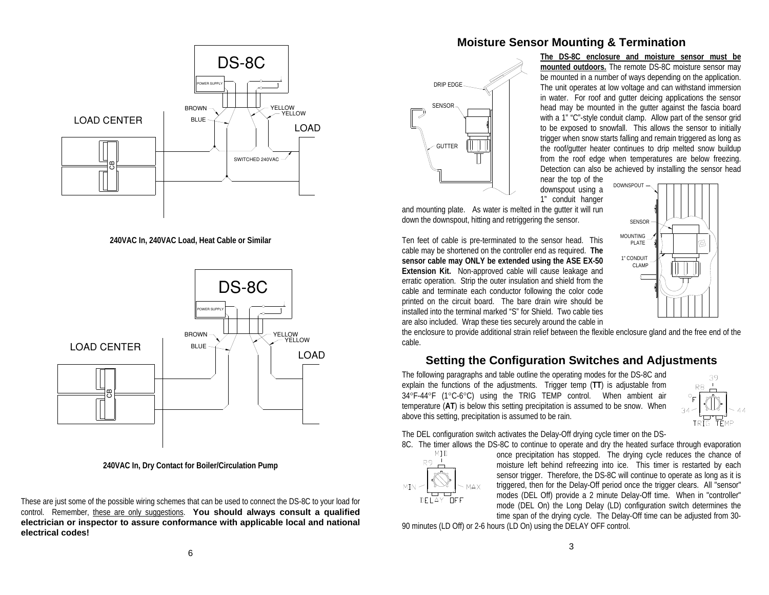

**240VAC In, 240VAC Load, Heat Cable or Similar** 



**240VAC In, Dry Contact for Boiler/Circulation Pump** 

These are just some of the possible wiring schemes that can be used to connect the DS-8C to your load for control. Remember, these are only suggestions. **You should always consult a qualified electrician or inspector to assure conformance with applicable local and national electrical codes!**

#### **Moisture Sensor Mounting & Termination**



**The DS-8C enclosure and moisture sensor must be mounted outdoors.** The remote DS-8C moisture sensor may be mounted in a number of ways depending on the application. The unit operates at low voltage and can withstand immersion in water. For roof and gutter deicing applications the sensor head may be mounted in the gutter against the fascia board with a 1" "C"-style conduit clamp. Allow part of the sensor grid to be exposed to snowfall. This allows the sensor to initially trigger when snow starts falling and remain triggered as long as the roof/gutter heater continues to drip melted snow buildup from the roof edge when temperatures are below freezing. Detection can also be achieved by installing the sensor head

> SENSORMOUNTING PLATE1" CONDUIT CLAMP

near the top of the downspout using a 1" conduit hanger DOWNSPOUT

and mounting plate. As water is melted in the gutter it will run down the downspout, hitting and retriggering the sensor.

Ten feet of cable is pre-terminated to the sensor head. This cable may be shortened on the controller end as required. **The sensor cable may ONLY be extended using the ASE EX-50 Extension Kit.** Non-approved cable will cause leakage and erratic operation. Strip the outer insulation and shield from the cable and terminate each conductor following the color code printed on the circuit board. The bare drain wire should be installed into the terminal marked "S" for Shield. Two cable ties are also included. Wrap these ties securely around the cable in

the enclosure to provide additional strain relief between the flexible enclosure gland and the free end of the cable.

#### **Setting the Configuration Switches and Adjustments**

The following paragraphs and table outline the operating modes for the DS-8C and explain the functions of the adjustments. Trigger temp (**TT**) is adjustable from 34°F-44°F (1°C-6°C) using the TRIG TEMP control. When ambient air temperature (**AT**) is below this setting precipitation is assumed to be snow. When above this setting, precipitation is assumed to be rain.



୲୭

The DEL configuration switch activates the Delay-Off drying cycle timer on the DS-



8C. The timer allows the DS-8C to continue to operate and dry the heated surface through evaporation MID once precipitation has stopped. The drying cycle reduces the chance of once precipitation has stopped. The drying cycle reduces the chance of moisture left behind refreezing into ice. This timer is restarted by each sensor trigger. Therefore, the DS-8C will continue to operate as long as it is triggered, then for the Delay-Off period once the trigger clears. All "sensor" modes (DEL Off) provide a 2 minute Delay-Off time. When in "controller" mode (DEL On) the Long Delay (LD) configuration switch determines the time span of the drying cycle. The Delay-Off time can be adjusted from 30-

90 minutes (LD Off) or 2-6 hours (LD On) using the DELAY OFF control.